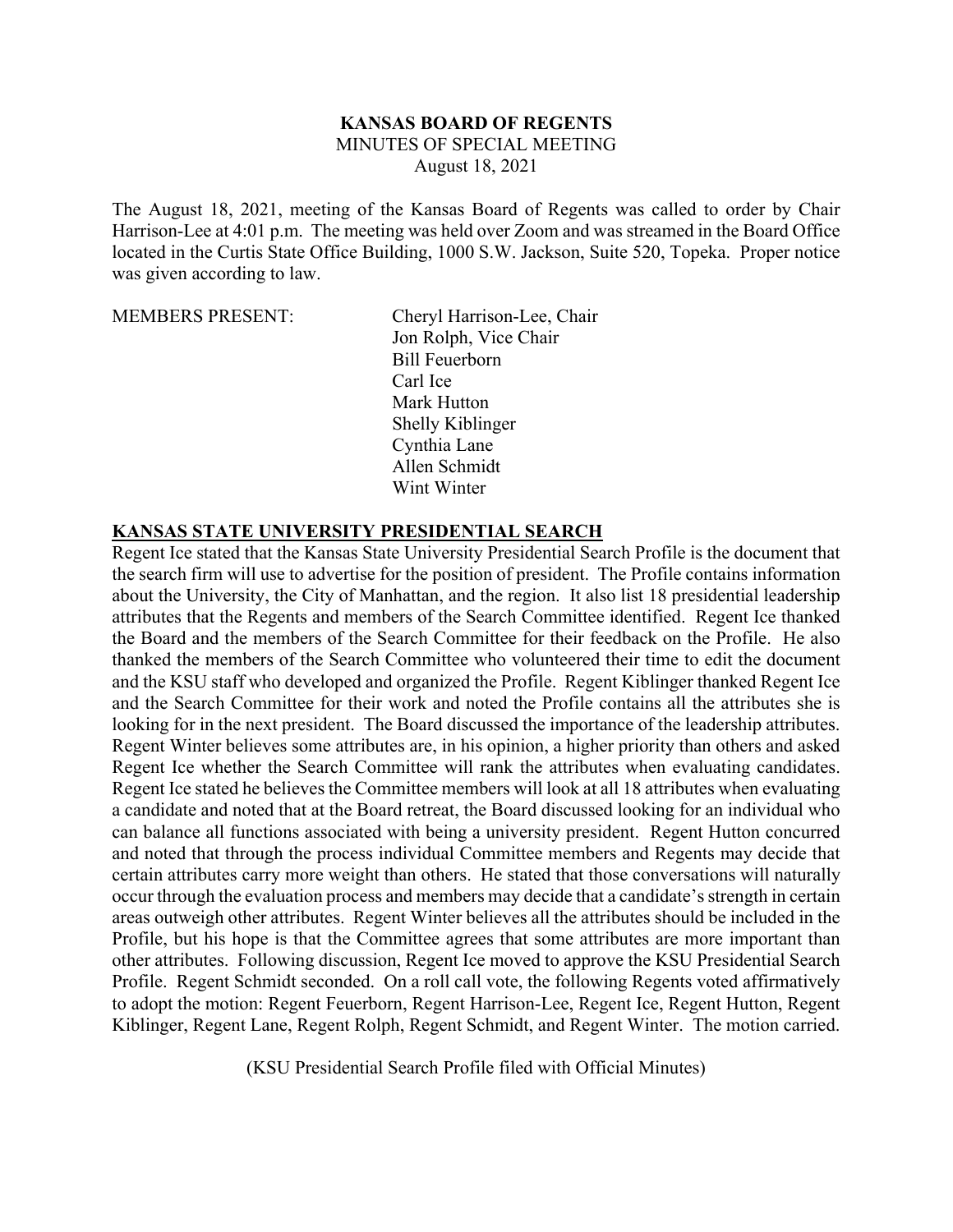## **KANSAS BOARD OF REGENTS** MINUTES OF SPECIAL MEETING August 18, 2021

The August 18, 2021, meeting of the Kansas Board of Regents was called to order by Chair Harrison-Lee at 4:01 p.m. The meeting was held over Zoom and was streamed in the Board Office located in the Curtis State Office Building, 1000 S.W. Jackson, Suite 520, Topeka. Proper notice was given according to law.

MEMBERS PRESENT: Cheryl Harrison-Lee, Chair Jon Rolph, Vice Chair Bill Feuerborn Carl Ice Mark Hutton Shelly Kiblinger Cynthia Lane Allen Schmidt Wint Winter

## **KANSAS STATE UNIVERSITY PRESIDENTIAL SEARCH**

Regent Ice stated that the Kansas State University Presidential Search Profile is the document that the search firm will use to advertise for the position of president. The Profile contains information about the University, the City of Manhattan, and the region. It also list 18 presidential leadership attributes that the Regents and members of the Search Committee identified. Regent Ice thanked the Board and the members of the Search Committee for their feedback on the Profile. He also thanked the members of the Search Committee who volunteered their time to edit the document and the KSU staff who developed and organized the Profile. Regent Kiblinger thanked Regent Ice and the Search Committee for their work and noted the Profile contains all the attributes she is looking for in the next president. The Board discussed the importance of the leadership attributes. Regent Winter believes some attributes are, in his opinion, a higher priority than others and asked Regent Ice whether the Search Committee will rank the attributes when evaluating candidates. Regent Ice stated he believes the Committee members will look at all 18 attributes when evaluating a candidate and noted that at the Board retreat, the Board discussed looking for an individual who can balance all functions associated with being a university president. Regent Hutton concurred and noted that through the process individual Committee members and Regents may decide that certain attributes carry more weight than others. He stated that those conversations will naturally occur through the evaluation process and members may decide that a candidate's strength in certain areas outweigh other attributes. Regent Winter believes all the attributes should be included in the Profile, but his hope is that the Committee agrees that some attributes are more important than other attributes. Following discussion, Regent Ice moved to approve the KSU Presidential Search Profile. Regent Schmidt seconded. On a roll call vote, the following Regents voted affirmatively to adopt the motion: Regent Feuerborn, Regent Harrison-Lee, Regent Ice, Regent Hutton, Regent Kiblinger, Regent Lane, Regent Rolph, Regent Schmidt, and Regent Winter. The motion carried.

(KSU Presidential Search Profile filed with Official Minutes)